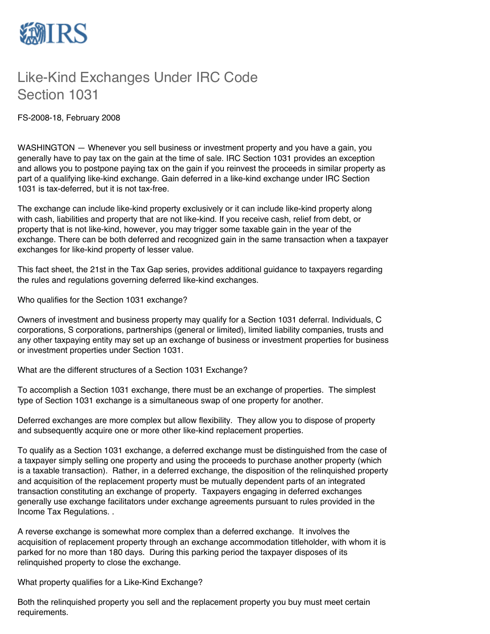

## Like-Kind Exchanges Under IRC Code Section 1031

FS-2008-18, February 2008

WASHINGTON — Whenever you sell business or investment property and you have a gain, you generally have to pay tax on the gain at the time of sale. IRC Section 1031 provides an exception and allows you to postpone paying tax on the gain if you reinvest the proceeds in similar property as part of a qualifying like-kind exchange. Gain deferred in a like-kind exchange under IRC Section 1031 is tax-deferred, but it is not tax-free.

The exchange can include like-kind property exclusively or it can include like-kind property along with cash, liabilities and property that are not like-kind. If you receive cash, relief from debt, or property that is not like-kind, however, you may trigger some taxable gain in the year of the exchange. There can be both deferred and recognized gain in the same transaction when a taxpayer exchanges for like-kind property of lesser value.

This fact sheet, the 21st in the Tax Gap series, provides additional guidance to taxpayers regarding the rules and regulations governing deferred like-kind exchanges.

Who qualifies for the Section 1031 exchange?

Owners of investment and business property may qualify for a Section 1031 deferral. Individuals, C corporations, S corporations, partnerships (general or limited), limited liability companies, trusts and any other taxpaying entity may set up an exchange of business or investment properties for business or investment properties under Section 1031.

What are the different structures of a Section 1031 Exchange?

To accomplish a Section 1031 exchange, there must be an exchange of properties. The simplest type of Section 1031 exchange is a simultaneous swap of one property for another.

Deferred exchanges are more complex but allow flexibility. They allow you to dispose of property and subsequently acquire one or more other like-kind replacement properties.

To qualify as a Section 1031 exchange, a deferred exchange must be distinguished from the case of a taxpayer simply selling one property and using the proceeds to purchase another property (which is a taxable transaction). Rather, in a deferred exchange, the disposition of the relinquished property and acquisition of the replacement property must be mutually dependent parts of an integrated transaction constituting an exchange of property. Taxpayers engaging in deferred exchanges generally use exchange facilitators under exchange agreements pursuant to rules provided in the Income Tax Regulations. .

A reverse exchange is somewhat more complex than a deferred exchange. It involves the acquisition of replacement property through an exchange accommodation titleholder, with whom it is parked for no more than 180 days. During this parking period the taxpayer disposes of its relinquished property to close the exchange.

What property qualifies for a Like-Kind Exchange?

Both the relinquished property you sell and the replacement property you buy must meet certain requirements.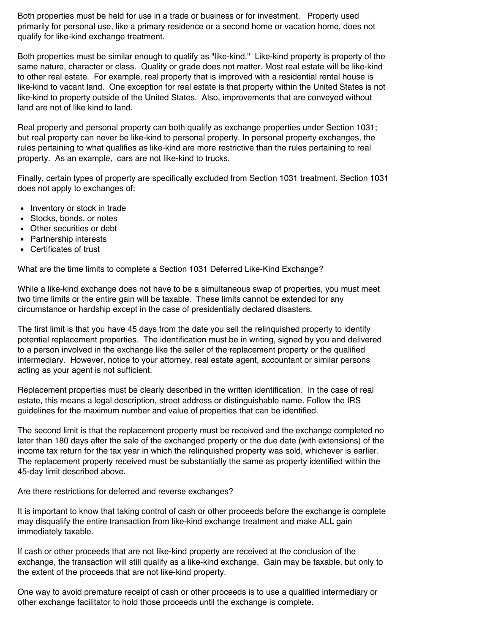Both properties must be held for use in a trade or business or for investment. Property used primarily for personal use, like a primary residence or a second home or vacation home, does not qualify for like-kind exchange treatment.

Both properties must be similar enough to qualify as "like-kind." Like-kind property is property of the same nature, character or class. Quality or grade does not matter. Most real estate will be like-kind to other real estate. For example, real property that is improved with a residential rental house is like-kind to vacant land. One exception for real estate is that property within the United States is not like-kind to property outside of the United States. Also, improvements that are conveyed without land are not of like kind to land.

Real property and personal property can both qualify as exchange properties under Section 1031; but real property can never be like-kind to personal property. In personal property exchanges, the rules pertaining to what qualifies as like-kind are more restrictive than the rules pertaining to real property. As an example, cars are not like-kind to trucks.

Finally, certain types of property are specifically excluded from Section 1031 treatment. Section 1031 does not apply to exchanges of:

- Inventory or stock in trade
- Stocks, bonds, or notes
- Other securities or debt
- Partnership interests
- Certificates of trust

What are the time limits to complete a Section 1031 Deferred Like-Kind Exchange?

While a like-kind exchange does not have to be a simultaneous swap of properties, you must meet two time limits or the entire gain will be taxable. These limits cannot be extended for any circumstance or hardship except in the case of presidentially declared disasters.

The first limit is that you have 45 days from the date you sell the relinquished property to identify potential replacement properties. The identification must be in writing, signed by you and delivered to a person involved in the exchange like the seller of the replacement property or the qualified intermediary. However, notice to your attorney, real estate agent, accountant or similar persons acting as your agent is not sufficient.

Replacement properties must be clearly described in the written identification. In the case of real estate, this means a legal description, street address or distinguishable name. Follow the IRS guidelines for the maximum number and value of properties that can be identified.

The second limit is that the replacement property must be received and the exchange completed no later than 180 days after the sale of the exchanged property or the due date (with extensions) of the income tax return for the tax year in which the relinquished property was sold, whichever is earlier. The replacement property received must be substantially the same as property identified within the 45-day limit described above.

Are there restrictions for deferred and reverse exchanges?

It is important to know that taking control of cash or other proceeds before the exchange is complete may disqualify the entire transaction from like-kind exchange treatment and make ALL gain immediately taxable.

If cash or other proceeds that are not like-kind property are received at the conclusion of the exchange, the transaction will still qualify as a like-kind exchange. Gain may be taxable, but only to the extent of the proceeds that are not like-kind property.

One way to avoid premature receipt of cash or other proceeds is to use a qualified intermediary or other exchange facilitator to hold those proceeds until the exchange is complete.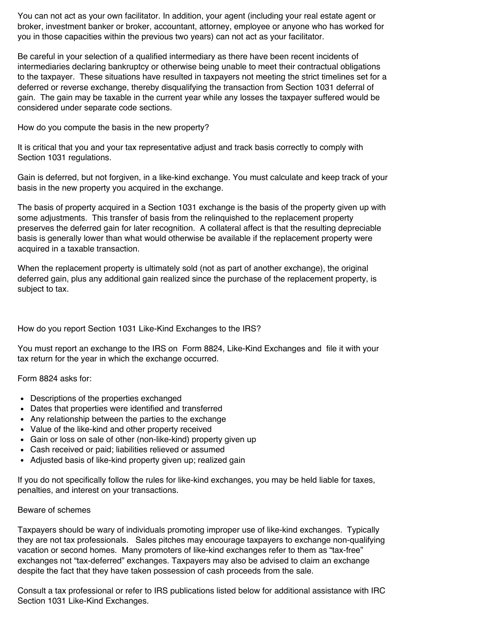You can not act as your own facilitator. In addition, your agent (including your real estate agent or broker, investment banker or broker, accountant, attorney, employee or anyone who has worked for you in those capacities within the previous two years) can not act as your facilitator.

Be careful in your selection of a qualified intermediary as there have been recent incidents of intermediaries declaring bankruptcy or otherwise being unable to meet their contractual obligations to the taxpayer. These situations have resulted in taxpayers not meeting the strict timelines set for a deferred or reverse exchange, thereby disqualifying the transaction from Section 1031 deferral of gain. The gain may be taxable in the current year while any losses the taxpayer suffered would be considered under separate code sections.

How do you compute the basis in the new property?

It is critical that you and your tax representative adjust and track basis correctly to comply with Section 1031 regulations.

Gain is deferred, but not forgiven, in a like-kind exchange. You must calculate and keep track of your basis in the new property you acquired in the exchange.

The basis of property acquired in a Section 1031 exchange is the basis of the property given up with some adjustments. This transfer of basis from the relinquished to the replacement property preserves the deferred gain for later recognition. A collateral affect is that the resulting depreciable basis is generally lower than what would otherwise be available if the replacement property were acquired in a taxable transaction.

When the replacement property is ultimately sold (not as part of another exchange), the original deferred gain, plus any additional gain realized since the purchase of the replacement property, is subject to tax.

How do you report Section 1031 Like-Kind Exchanges to the IRS?

You must report an exchange to the IRS on Form 8824, Like-Kind Exchanges and file it with your tax return for the year in which the exchange occurred.

Form 8824 asks for:

- Descriptions of the properties exchanged
- Dates that properties were identified and transferred
- Any relationship between the parties to the exchange
- Value of the like-kind and other property received
- Gain or loss on sale of other (non-like-kind) property given up
- Cash received or paid; liabilities relieved or assumed
- Adjusted basis of like-kind property given up; realized gain

If you do not specifically follow the rules for like-kind exchanges, you may be held liable for taxes, penalties, and interest on your transactions.

## Beware of schemes

Taxpayers should be wary of individuals promoting improper use of like-kind exchanges. Typically they are not tax professionals. Sales pitches may encourage taxpayers to exchange non-qualifying vacation or second homes. Many promoters of like-kind exchanges refer to them as "tax-free" exchanges not "tax-deferred" exchanges. Taxpayers may also be advised to claim an exchange despite the fact that they have taken possession of cash proceeds from the sale.

Consult a tax professional or refer to IRS publications listed below for additional assistance with IRC Section 1031 Like-Kind Exchanges.